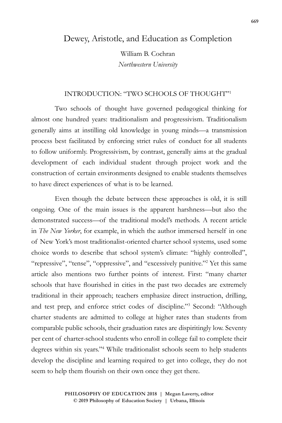# Dewey, Aristotle, and Education as Completion

William B. Cochran *Northwestern University*

## INTRODUCTION: "TWO SCHOOLS OF THOUGHT"1

Two schools of thought have governed pedagogical thinking for almost one hundred years: traditionalism and progressivism. Traditionalism generally aims at instilling old knowledge in young minds—a transmission process best facilitated by enforcing strict rules of conduct for all students to follow uniformly. Progressivism, by contrast, generally aims at the gradual development of each individual student through project work and the construction of certain environments designed to enable students themselves to have direct experiences of what is to be learned.

Even though the debate between these approaches is old, it is still ongoing. One of the main issues is the apparent harshness—but also the demonstrated success—of the traditional model's methods. A recent article in *The New Yorker*, for example, in which the author immersed herself in one of New York's most traditionalist-oriented charter school systems, used some choice words to describe that school system's climate: "highly controlled", "repressive", "tense", "oppressive", and "excessively punitive."<sup>2</sup> Yet this same article also mentions two further points of interest. First: "many charter schools that have flourished in cities in the past two decades are extremely traditional in their approach; teachers emphasize direct instruction, drilling, and test prep, and enforce strict codes of discipline."3 Second: "Although charter students are admitted to college at higher rates than students from comparable public schools, their graduation rates are dispiritingly low. Seventy per cent of charter-school students who enroll in college fail to complete their degrees within six years."4 While traditionalist schools seem to help students develop the discipline and learning required to get into college, they do not seem to help them flourish on their own once they get there.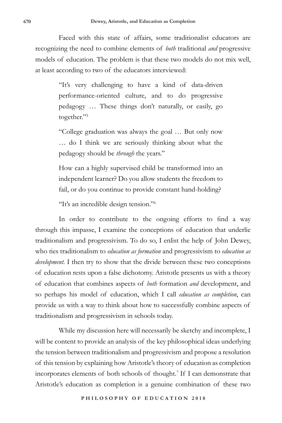Faced with this state of affairs, some traditionalist educators are recognizing the need to combine elements of *both* traditional *and* progressive models of education. The problem is that these two models do not mix well, at least according to two of the educators interviewed:

> "It's very challenging to have a kind of data-driven performance-oriented culture, and to do progressive pedagogy … These things don't naturally, or easily, go together."5

> "College graduation was always the goal … But only now … do I think we are seriously thinking about what the pedagogy should be *through* the years."

> How can a highly supervised child be transformed into an independent learner? Do you allow students the freedom to fail, or do you continue to provide constant hand-holding?

"It's an incredible design tension."6

In order to contribute to the ongoing efforts to find a way through this impasse, I examine the conceptions of education that underlie traditionalism and progressivism. To do so, I enlist the help of John Dewey, who ties traditionalism to *education as formation* and progressivism to *education as development.* I then try to show that the divide between these two conceptions of education rests upon a false dichotomy. Aristotle presents us with a theory of education that combines aspects of *both* formation *and* development, and so perhaps his model of education, which I call *education as completion*, can provide us with a way to think about how to successfully combine aspects of traditionalism and progressivism in schools today.

While my discussion here will necessarily be sketchy and incomplete, I will be content to provide an analysis of the key philosophical ideas underlying the tension between traditionalism and progressivism and propose a resolution of this tension by explaining how Aristotle's theory of education as completion incorporates elements of both schools of thought.7 If I can demonstrate that Aristotle's education as completion is a genuine combination of these two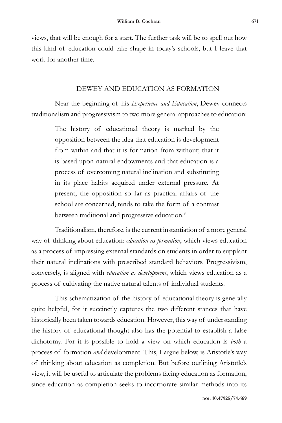views, that will be enough for a start. The further task will be to spell out how this kind of education could take shape in today's schools, but I leave that work for another time.

#### DEWEY AND EDUCATION AS FORMATION

Near the beginning of his *Experience and Education*, Dewey connects traditionalism and progressivism to two more general approaches to education:

> The history of educational theory is marked by the opposition between the idea that education is development from within and that it is formation from without; that it is based upon natural endowments and that education is a process of overcoming natural inclination and substituting in its place habits acquired under external pressure. At present, the opposition so far as practical affairs of the school are concerned, tends to take the form of a contrast between traditional and progressive education.<sup>8</sup>

Traditionalism, therefore, is the current instantiation of a more general way of thinking about education: *education as formation*, which views education as a process of impressing external standards on students in order to supplant their natural inclinations with prescribed standard behaviors. Progressivism, conversely, is aligned with *education as development*, which views education as a process of cultivating the native natural talents of individual students.

This schematization of the history of educational theory is generally quite helpful, for it succinctly captures the two different stances that have historically been taken towards education. However, this way of understanding the history of educational thought also has the potential to establish a false dichotomy. For it is possible to hold a view on which education is *both* a process of formation *and* development. This, I argue below, is Aristotle's way of thinking about education as completion. But before outlining Aristotle's view, it will be useful to articulate the problems facing education as formation, since education as completion seeks to incorporate similar methods into its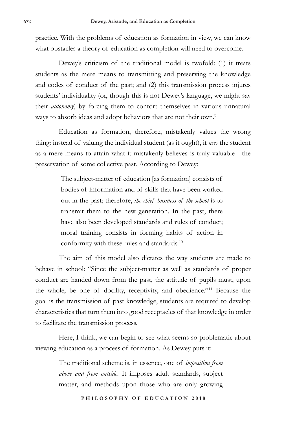practice. With the problems of education as formation in view, we can know what obstacles a theory of education as completion will need to overcome.

Dewey's criticism of the traditional model is twofold: (1) it treats students as the mere means to transmitting and preserving the knowledge and codes of conduct of the past; and (2) this transmission process injures students' individuality (or, though this is not Dewey's language, we might say their *autonomy*) by forcing them to contort themselves in various unnatural ways to absorb ideas and adopt behaviors that are not their own.<sup>9</sup>

Education as formation, therefore, mistakenly values the wrong thing: instead of valuing the individual student (as it ought), it *uses* the student as a mere means to attain what it mistakenly believes is truly valuable—the preservation of some collective past. According to Dewey:

> The subject-matter of education [as formation] consists of bodies of information and of skills that have been worked out in the past; therefore, *the chief business of the school* is to transmit them to the new generation. In the past, there have also been developed standards and rules of conduct; moral training consists in forming habits of action in conformity with these rules and standards.10

The aim of this model also dictates the way students are made to behave in school: "Since the subject-matter as well as standards of proper conduct are handed down from the past, the attitude of pupils must, upon the whole, be one of docility, receptivity, and obedience."11 Because the goal is the transmission of past knowledge, students are required to develop characteristics that turn them into good receptacles of that knowledge in order to facilitate the transmission process.

Here, I think, we can begin to see what seems so problematic about viewing education as a process of formation. As Dewey puts it:

> The traditional scheme is, in essence, one of *imposition from above and from outside*. It imposes adult standards, subject matter, and methods upon those who are only growing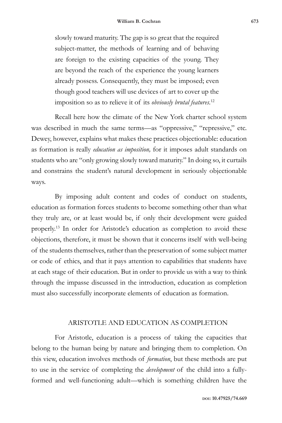slowly toward maturity. The gap is so great that the required subject-matter, the methods of learning and of behaving are foreign to the existing capacities of the young. They are beyond the reach of the experience the young learners already possess. Consequently, they must be imposed; even though good teachers will use devices of art to cover up the imposition so as to relieve it of its *obviously brutal features*. 12

Recall here how the climate of the New York charter school system was described in much the same terms—as "oppressive," "repressive," etc. Dewey, however, explains what makes these practices objectionable: education as formation is really *education as imposition,* for it imposes adult standards on students who are "only growing slowly toward maturity." In doing so, it curtails and constrains the student's natural development in seriously objectionable ways.

By imposing adult content and codes of conduct on students, education as formation forces students to become something other than what they truly are, or at least would be, if only their development were guided properly.13 In order for Aristotle's education as completion to avoid these objections, therefore, it must be shown that it concerns itself with well-being of the students themselves, rather than the preservation of some subject matter or code of ethics, and that it pays attention to capabilities that students have at each stage of their education. But in order to provide us with a way to think through the impasse discussed in the introduction, education as completion must also successfully incorporate elements of education as formation.

### ARISTOTLE AND EDUCATION AS COMPLETION

For Aristotle, education is a process of taking the capacities that belong to the human being by nature and bringing them to completion. On this view, education involves methods of *formation*, but these methods are put to use in the service of completing the *development* of the child into a fullyformed and well-functioning adult—which is something children have the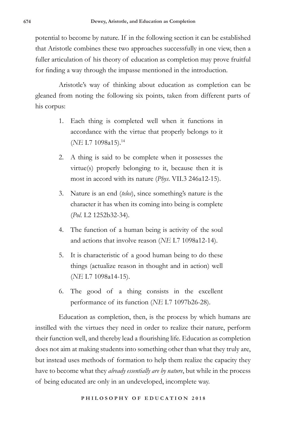potential to become by nature. If in the following section it can be established that Aristotle combines these two approaches successfully in one view, then a fuller articulation of his theory of education as completion may prove fruitful for finding a way through the impasse mentioned in the introduction.

Aristotle's way of thinking about education as completion can be gleaned from noting the following six points, taken from different parts of his corpus:

- 1. Each thing is completed well when it functions in accordance with the virtue that properly belongs to it (*NE* I.7 1098a15).14
- 2. A thing is said to be complete when it possesses the virtue(s) properly belonging to it, because then it is most in accord with its nature (*Phys*. VII.3 246a12-15).
- 3. Nature is an end (*telos*), since something's nature is the character it has when its coming into being is complete (*Pol*. I.2 1252b32-34).
- 4. The function of a human being is activity of the soul and actions that involve reason (*NE* I.7 1098a12-14).
- 5. It is characteristic of a good human being to do these things (actualize reason in thought and in action) well (*NE* I.7 1098a14-15).
- 6. The good of a thing consists in the excellent performance of its function (*NE* I.7 1097b26-28).

Education as completion, then, is the process by which humans are instilled with the virtues they need in order to realize their nature, perform their function well, and thereby lead a flourishing life. Education as completion does not aim at making students into something other than what they truly are, but instead uses methods of formation to help them realize the capacity they have to become what they *already essentially are by nature*, but while in the process of being educated are only in an undeveloped, incomplete way.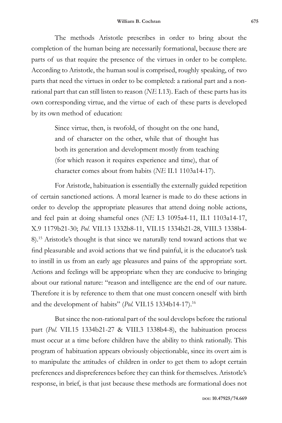The methods Aristotle prescribes in order to bring about the completion of the human being are necessarily formational, because there are parts of us that require the presence of the virtues in order to be complete. According to Aristotle, the human soul is comprised, roughly speaking, of two parts that need the virtues in order to be completed: a rational part and a nonrational part that can still listen to reason (*NE* I.13). Each of these parts has its own corresponding virtue, and the virtue of each of these parts is developed by its own method of education:

> Since virtue, then, is twofold, of thought on the one hand, and of character on the other, while that of thought has both its generation and development mostly from teaching (for which reason it requires experience and time), that of character comes about from habits (*NE* II.1 1103a14-17).

For Aristotle, habituation is essentially the externally guided repetition of certain sanctioned actions. A moral learner is made to do these actions in order to develop the appropriate pleasures that attend doing noble actions, and feel pain at doing shameful ones (*NE* I.3 1095a4-11, II.1 1103a14-17, X.9 1179b21-30; *Pol*. VII.13 1332b8-11, VII.15 1334b21-28, VIII.3 1338b4- 8).15 Aristotle's thought is that since we naturally tend toward actions that we find pleasurable and avoid actions that we find painful, it is the educator's task to instill in us from an early age pleasures and pains of the appropriate sort. Actions and feelings will be appropriate when they are conducive to bringing about our rational nature: "reason and intelligence are the end of our nature. Therefore it is by reference to them that one must concern oneself with birth and the development of habits" (*Pol.* VII.15 1334b14-17).16

But since the non-rational part of the soul develops before the rational part (*Pol.* VII.15 1334b21-27 & VIII.3 1338b4-8), the habituation process must occur at a time before children have the ability to think rationally. This program of habituation appears obviously objectionable, since its overt aim is to manipulate the attitudes of children in order to get them to adopt certain preferences and dispreferences before they can think for themselves. Aristotle's response, in brief, is that just because these methods are formational does not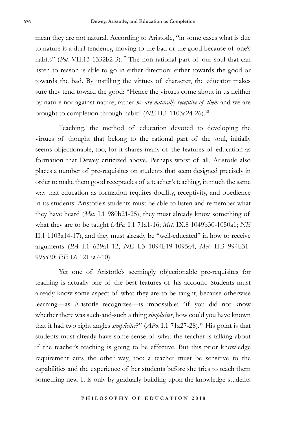mean they are not natural. According to Aristotle, "in some cases what is due to nature is a dual tendency, moving to the bad or the good because of one's habits" (*Pol. VII.13 1332b2-3*).<sup>17</sup> The non-rational part of our soul that can listen to reason is able to go in either direction: either towards the good or towards the bad. By instilling the virtues of character, the educator makes sure they tend toward the good: "Hence the virtues come about in us neither by nature nor against nature, rather *we are naturally receptive of them* and we are brought to completion through habit" (*NE* II.1 1103a24-26).18

Teaching, the method of education devoted to developing the virtues of thought that belong to the rational part of the soul, initially seems objectionable, too, for it shares many of the features of education as formation that Dewey criticized above. Perhaps worst of all, Aristotle also places a number of pre-requisites on students that seem designed precisely in order to make them good receptacles of a teacher's teaching, in much the same way that education as formation requires docility, receptivity, and obedience in its students: Aristotle's students must be able to listen and remember what they have heard (*Met.* I.1 980b21-25), they must already know something of what they are to be taught (*APo.* I.1 71a1-16; *Met.* IX.8 1049b30-1050a1; *NE*  II.1 1103a14-17), and they must already be "well-educated" in how to receive arguments (*PA* I.1 639a1-12; *NE* I.3 1094b19-1095a4; *Met.* II.3 994b31- 995a20; *EE* I.6 1217a7-10).

Yet one of Aristotle's seemingly objectionable pre-requisites for teaching is actually one of the best features of his account. Students must already know some aspect of what they are to be taught, because otherwise learning—as Aristotle recognizes—is impossible: "if you did not know whether there was such-and-such a thing *simpliciter*, how could you have known that it had two right angles *simpliciter*?" (*APo.* I.1 71a27-28).19 His point is that students must already have some sense of what the teacher is talking about if the teacher's teaching is going to be effective. But this prior knowledge requirement cuts the other way, too: a teacher must be sensitive to the capabilities and the experience of her students before she tries to teach them something new. It is only by gradually building upon the knowledge students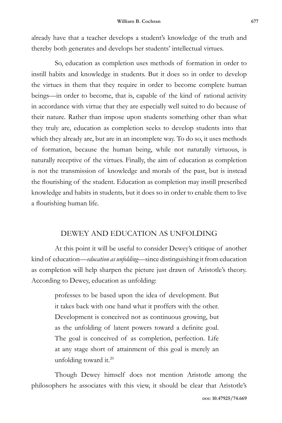already have that a teacher develops a student's knowledge of the truth and thereby both generates and develops her students' intellectual virtues.

So, education as completion uses methods of formation in order to instill habits and knowledge in students. But it does so in order to develop the virtues in them that they require in order to become complete human beings—in order to become, that is, capable of the kind of rational activity in accordance with virtue that they are especially well suited to do because of their nature. Rather than impose upon students something other than what they truly are, education as completion seeks to develop students into that which they already are, but are in an incomplete way. To do so, it uses methods of formation, because the human being, while not naturally virtuous, is naturally receptive of the virtues. Finally, the aim of education as completion is not the transmission of knowledge and morals of the past, but is instead the flourishing of the student. Education as completion may instill prescribed knowledge and habits in students, but it does so in order to enable them to live a flourishing human life.

## DEWEY AND EDUCATION AS UNFOLDING

At this point it will be useful to consider Dewey's critique of another kind of education—*education as unfolding*—since distinguishing it from education as completion will help sharpen the picture just drawn of Aristotle's theory. According to Dewey, education as unfolding:

> professes to be based upon the idea of development. But it takes back with one hand what it proffers with the other. Development is conceived not as continuous growing, but as the unfolding of latent powers toward a definite goal. The goal is conceived of as completion, perfection. Life at any stage short of attainment of this goal is merely an unfolding toward it.<sup>20</sup>

Though Dewey himself does not mention Aristotle among the philosophers he associates with this view, it should be clear that Aristotle's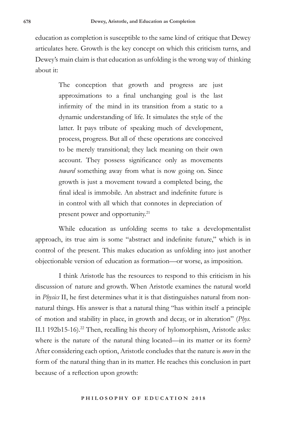education as completion is susceptible to the same kind of critique that Dewey articulates here. Growth is the key concept on which this criticism turns, and Dewey's main claim is that education as unfolding is the wrong way of thinking about it:

> The conception that growth and progress are just approximations to a final unchanging goal is the last infirmity of the mind in its transition from a static to a dynamic understanding of life. It simulates the style of the latter. It pays tribute of speaking much of development, process, progress. But all of these operations are conceived to be merely transitional; they lack meaning on their own account. They possess significance only as movements *toward* something away from what is now going on. Since growth is just a movement toward a completed being, the final ideal is immobile. An abstract and indefinite future is in control with all which that connotes in depreciation of present power and opportunity.<sup>21</sup>

While education as unfolding seems to take a developmentalist approach, its true aim is some "abstract and indefinite future," which is in control of the present. This makes education as unfolding into just another objectionable version of education as formation—or worse, as imposition.

I think Aristotle has the resources to respond to this criticism in his discussion of nature and growth. When Aristotle examines the natural world in *Physics* II, he first determines what it is that distinguishes natural from nonnatural things. His answer is that a natural thing "has within itself a principle of motion and stability in place, in growth and decay, or in alteration" (*Phys.*  II.1 192b15-16).<sup>22</sup> Then, recalling his theory of hylomorphism, Aristotle asks: where is the nature of the natural thing located—in its matter or its form? After considering each option, Aristotle concludes that the nature is *more* in the form of the natural thing than in its matter. He reaches this conclusion in part because of a reflection upon growth: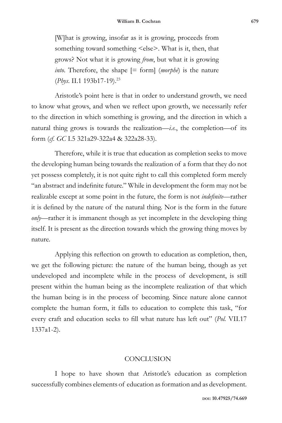[W]hat is growing, insofar as it is growing, proceeds from something toward something  $\le$ else $\ge$ . What is it, then, that grows? Not what it is growing *from*, but what it is growing *into*. Therefore, the shape [= form] (*morphē*) is the nature (*Phys*. II.1 193b17-19).23

Aristotle's point here is that in order to understand growth, we need to know what grows, and when we reflect upon growth, we necessarily refer to the direction in which something is growing, and the direction in which a natural thing grows is towards the realization—*i.e.*, the completion—of its form (*cf. GC* I.5 321a29-322a4 & 322a28-33).

Therefore, while it is true that education as completion seeks to move the developing human being towards the realization of a form that they do not yet possess completely, it is not quite right to call this completed form merely "an abstract and indefinite future." While in development the form may not be realizable except at some point in the future, the form is not *indefinite*—rather it is defined by the nature of the natural thing. Nor is the form in the future *only*—rather it is immanent though as yet incomplete in the developing thing itself. It is present as the direction towards which the growing thing moves by nature.

Applying this reflection on growth to education as completion, then, we get the following picture: the nature of the human being, though as yet undeveloped and incomplete while in the process of development, is still present within the human being as the incomplete realization of that which the human being is in the process of becoming. Since nature alone cannot complete the human form, it falls to education to complete this task, "for every craft and education seeks to fill what nature has left out" (*Pol.* VII.17 1337a1-2).

#### **CONCLUSION**

I hope to have shown that Aristotle's education as completion successfully combines elements of education as formation and as development.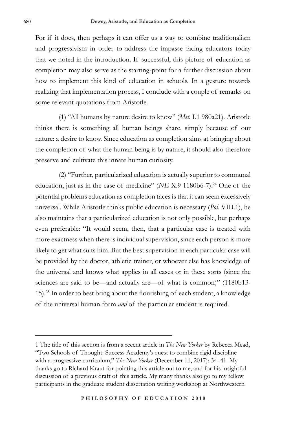For if it does, then perhaps it can offer us a way to combine traditionalism and progressivism in order to address the impasse facing educators today that we noted in the introduction. If successful, this picture of education as completion may also serve as the starting-point for a further discussion about how to implement this kind of education in schools. In a gesture towards realizing that implementation process, I conclude with a couple of remarks on some relevant quotations from Aristotle.

(1) "All humans by nature desire to know" (*Met.* I.1 980a21). Aristotle thinks there is something all human beings share, simply because of our nature: a desire to know. Since education as completion aims at bringing about the completion of what the human being is by nature, it should also therefore preserve and cultivate this innate human curiosity.

(2) "Further, particularized education is actually superior to communal education, just as in the case of medicine" (*NE X.9 1180b6-7*).<sup>24</sup> One of the potential problems education as completion faces is that it can seem excessively universal. While Aristotle thinks public education is necessary (*Pol.* VIII.1), he also maintains that a particularized education is not only possible, but perhaps even preferable: "It would seem, then, that a particular case is treated with more exactness when there is individual supervision, since each person is more likely to get what suits him. But the best supervision in each particular case will be provided by the doctor, athletic trainer, or whoever else has knowledge of the universal and knows what applies in all cases or in these sorts (since the sciences are said to be—and actually are—of what is common)" (1180b13- 15).25 In order to best bring about the flourishing of each student, a knowledge of the universal human form *and* of the particular student is required.

<sup>1</sup> The title of this section is from a recent article in *The New Yorker* by Rebecca Mead, "Two Schools of Thought: Success Academy's quest to combine rigid discipline with a progressive curriculum," *The New Yorker* (December 11, 2017): 34–41. My thanks go to Richard Kraut for pointing this article out to me, and for his insightful discussion of a previous draft of this article. My many thanks also go to my fellow participants in the graduate student dissertation writing workshop at Northwestern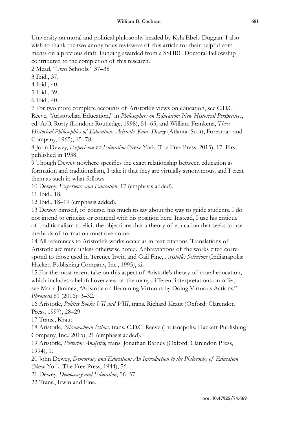University on moral and political philosophy headed by Kyla Ebels-Duggan. I also wish to thank the two anonymous reviewers of this article for their helpful comments on a previous draft. Funding awarded from a SSHRC Doctoral Fellowship contributed to the completion of this research.

2 Mead, "Two Schools," 37–38

3 Ibid., 37.

4 Ibid., 40.

5 Ibid., 39.

6 Ibid., 40.

7 For two more complete accounts of Aristotle's views on education, see C.D.C. Reeve, "Aristotelian Education," in *Philosophers on Education: New Historical Perspectives*, ed. A.O. Rorty (London: Routledge, 1998), 51–65, and William Frankena, *Three Historical Philosophies of Education: Aristotle, Kant, Dewey* (Atlanta: Scott, Foresman and Company, 1965), 15–78.

8 John Dewey, *Experience & Education* (New York: The Free Press, 2015), 17. First published in 1938.

9 Though Dewey nowhere specifies the exact relationship between education as formation and traditionalism, I take it that they are virtually synonymous, and I treat them as such in what follows.

10 Dewey, *Experience and Education*, 17 (emphasis added).

11 Ibid., 18.

12 Ibid., 18–19 (emphasis added).

13 Dewey himself, of course, has much to say about the way to guide students. I do not intend to criticize or contend with his position here. Instead, I use his critique of traditionalism to elicit the objections that a theory of education that seeks to use methods of formation must overcome.

14 All references to Aristotle's works occur as in-text citations. Translations of Aristotle are mine unless otherwise noted. Abbreviations of the works cited correspond to those used in Terence Irwin and Gail Fine, *Aristotle: Selections* (Indianapolis: Hackett Publishing Company, Inc., 1995), xi.

15 For the most recent take on this aspect of Aristotle's theory of moral education, which includes a helpful overview of the many different interpretations on offer, see Marta Jiminez, "Aristotle on Becoming Virtuous by Doing Virtuous Actions," *Phronesis* 61 (2016): 3–32.

16 Aristotle, *Politics Books VII and VIII*, trans. Richard Kraut (Oxford: Clarendon Press, 1997), 28–29.

17 Trans., Kraut.

18 Aristotle, *Nicomachean Ethics,* trans. C.D.C. Reeve (Indianapolis: Hackett Publishing Company, Inc., 2015), 21 (emphasis added).

19 Aristotle, *Posterior Analytics,* trans. Jonathan Barnes (Oxford: Clarendon Press, 1994), 1.

20 John Dewey, *Democracy and Education: An Introduction to the Philosophy of Education* (New York: The Free Press, 1944), 56.

21 Dewey, *Democracy and Education*, 56–57.

22 Trans., Irwin and Fine.